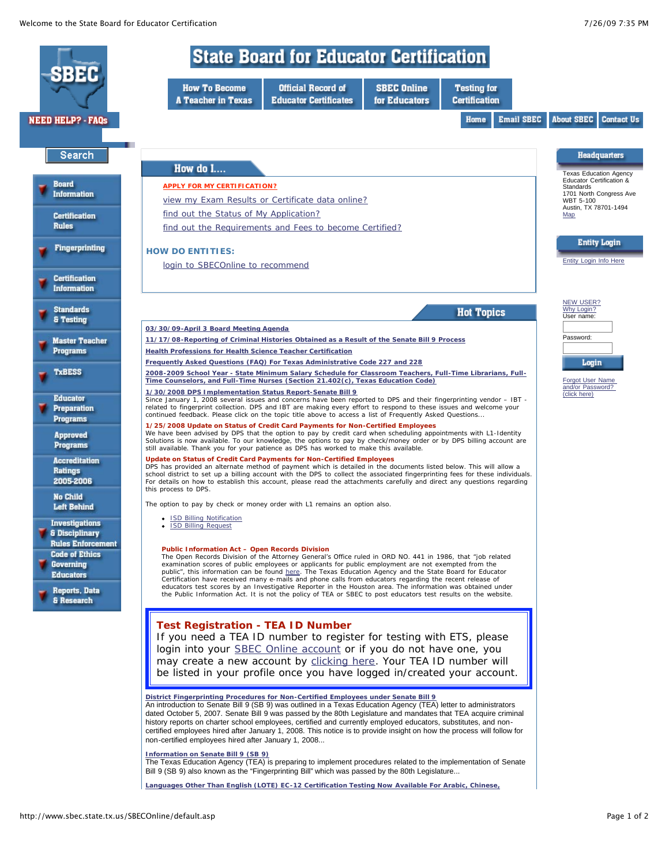

**Languages Other Than English (LOTE) EC-12 Certification Testing Now Available For Arabic, Chinese,**